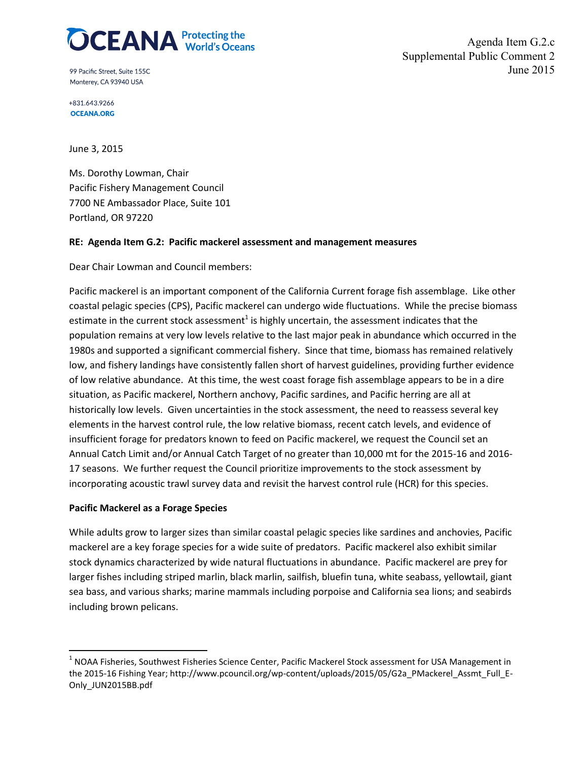# $\widehat{DCEANA}^{\text{Protecting the}}$

99 Pacific Street, Suite 155C Monterey, CA 93940 USA

Agenda Item G.2.c Supplemental Public Comment 2 June 2015

+831.643.9266 **OCEANA.ORG** 

June 3, 2015

Ms. Dorothy Lowman, Chair Pacific Fishery Management Council 7700 NE Ambassador Place, Suite 101 Portland, OR 97220

### **RE: Agenda Item G.2: Pacific mackerel assessment and management measures**

Dear Chair Lowman and Council members:

Pacific mackerel is an important component of the California Current forage fish assemblage. Like other coastal pelagic species (CPS), Pacific mackerel can undergo wide fluctuations. While the precise biomass estimate in the current stock assessment<sup>1</sup> is highly uncertain, the assessment indicates that the population remains at very low levels relative to the last major peak in abundance which occurred in the 1980s and supported a significant commercial fishery. Since that time, biomass has remained relatively low, and fishery landings have consistently fallen short of harvest guidelines, providing further evidence of low relative abundance. At this time, the west coast forage fish assemblage appears to be in a dire situation, as Pacific mackerel, Northern anchovy, Pacific sardines, and Pacific herring are all at historically low levels. Given uncertainties in the stock assessment, the need to reassess several key elements in the harvest control rule, the low relative biomass, recent catch levels, and evidence of insufficient forage for predators known to feed on Pacific mackerel, we request the Council set an Annual Catch Limit and/or Annual Catch Target of no greater than 10,000 mt for the 2015-16 and 2016- 17 seasons. We further request the Council prioritize improvements to the stock assessment by incorporating acoustic trawl survey data and revisit the harvest control rule (HCR) for this species.

### **Pacific Mackerel as a Forage Species**

While adults grow to larger sizes than similar coastal pelagic species like sardines and anchovies, Pacific mackerel are a key forage species for a wide suite of predators. Pacific mackerel also exhibit similar stock dynamics characterized by wide natural fluctuations in abundance. Pacific mackerel are prey for larger fishes including striped marlin, black marlin, sailfish, bluefin tuna, white seabass, yellowtail, giant sea bass, and various sharks; marine mammals including porpoise and California sea lions; and seabirds including brown pelicans.

 $<sup>1</sup>$  NOAA Fisheries, Southwest Fisheries Science Center, Pacific Mackerel Stock assessment for USA Management in</sup> the 2015-16 Fishing Year; http://www.pcouncil.org/wp-content/uploads/2015/05/G2a\_PMackerel\_Assmt\_Full\_E-Only\_JUN2015BB.pdf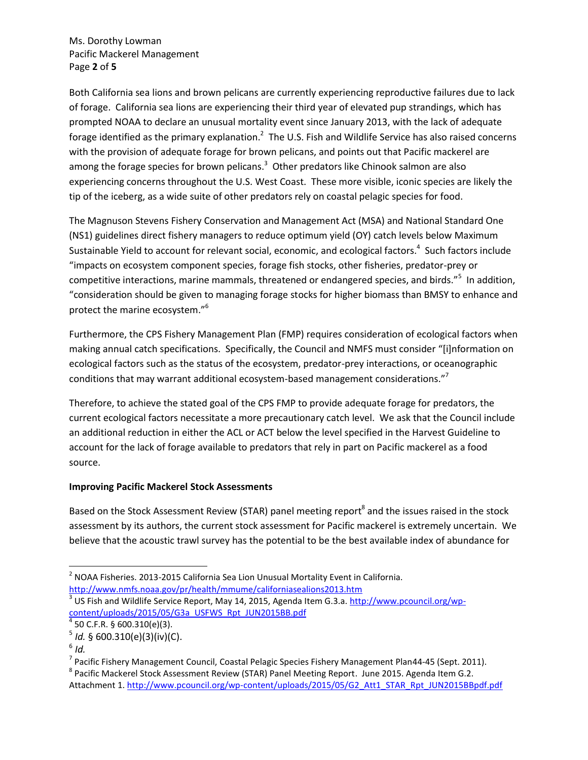Ms. Dorothy Lowman Pacific Mackerel Management Page **2** of **5**

Both California sea lions and brown pelicans are currently experiencing reproductive failures due to lack of forage. California sea lions are experiencing their third year of elevated pup strandings, which has prompted NOAA to declare an unusual mortality event since January 2013, with the lack of adequate forage identified as the primary explanation.<sup>2</sup> The U.S. Fish and Wildlife Service has also raised concerns with the provision of adequate forage for brown pelicans, and points out that Pacific mackerel are among the forage species for brown pelicans. $3$  Other predators like Chinook salmon are also experiencing concerns throughout the U.S. West Coast. These more visible, iconic species are likely the tip of the iceberg, as a wide suite of other predators rely on coastal pelagic species for food.

The Magnuson Stevens Fishery Conservation and Management Act (MSA) and National Standard One (NS1) guidelines direct fishery managers to reduce optimum yield (OY) catch levels below Maximum Sustainable Yield to account for relevant social, economic, and ecological factors.<sup>4</sup> Such factors include "impacts on ecosystem component species, forage fish stocks, other fisheries, predator-prey or competitive interactions, marine mammals, threatened or endangered species, and birds."<sup>5</sup> In addition, "consideration should be given to managing forage stocks for higher biomass than BMSY to enhance and protect the marine ecosystem."<sup>6</sup>

Furthermore, the CPS Fishery Management Plan (FMP) requires consideration of ecological factors when making annual catch specifications. Specifically, the Council and NMFS must consider "[i]nformation on ecological factors such as the status of the ecosystem, predator-prey interactions, or oceanographic conditions that may warrant additional ecosystem-based management considerations."<sup>7</sup>

Therefore, to achieve the stated goal of the CPS FMP to provide adequate forage for predators, the current ecological factors necessitate a more precautionary catch level. We ask that the Council include an additional reduction in either the ACL or ACT below the level specified in the Harvest Guideline to account for the lack of forage available to predators that rely in part on Pacific mackerel as a food source.

## **Improving Pacific Mackerel Stock Assessments**

Based on the Stock Assessment Review (STAR) panel meeting report<sup>8</sup> and the issues raised in the stock assessment by its authors, the current stock assessment for Pacific mackerel is extremely uncertain. We believe that the acoustic trawl survey has the potential to be the best available index of abundance for

l

 $^2$  NOAA Fisheries. 2013-2015 California Sea Lion Unusual Mortality Event in California. <http://www.nmfs.noaa.gov/pr/health/mmume/californiasealions2013.htm>

<sup>&</sup>lt;sup>3</sup> US Fish and Wildlife Service Report, May 14, 2015, Agenda Item G.3.a. [http://www.pcouncil.org/wp](http://www.pcouncil.org/wp-content/uploads/2015/05/G3a_USFWS_Rpt_JUN2015BB.pdf)[content/uploads/2015/05/G3a\\_USFWS\\_Rpt\\_JUN2015BB.pdf](http://www.pcouncil.org/wp-content/uploads/2015/05/G3a_USFWS_Rpt_JUN2015BB.pdf)

 $^4$  50 C.F.R. § 600.310(e)(3).

<sup>5</sup> *Id.* § 600.310(e)(3)(iv)(C).

<sup>6</sup> *Id.*

<sup>&</sup>lt;sup>7</sup> Pacific Fishery Management Council, Coastal Pelagic Species Fishery Management Plan44-45 (Sept. 2011).

<sup>&</sup>lt;sup>8</sup> Pacific Mackerel Stock Assessment Review (STAR) Panel Meeting Report. June 2015. Agenda Item G.2. Attachment 1[. http://www.pcouncil.org/wp-content/uploads/2015/05/G2\\_Att1\\_STAR\\_Rpt\\_JUN2015BBpdf.pdf](http://www.pcouncil.org/wp-content/uploads/2015/05/G2_Att1_STAR_Rpt_JUN2015BBpdf.pdf)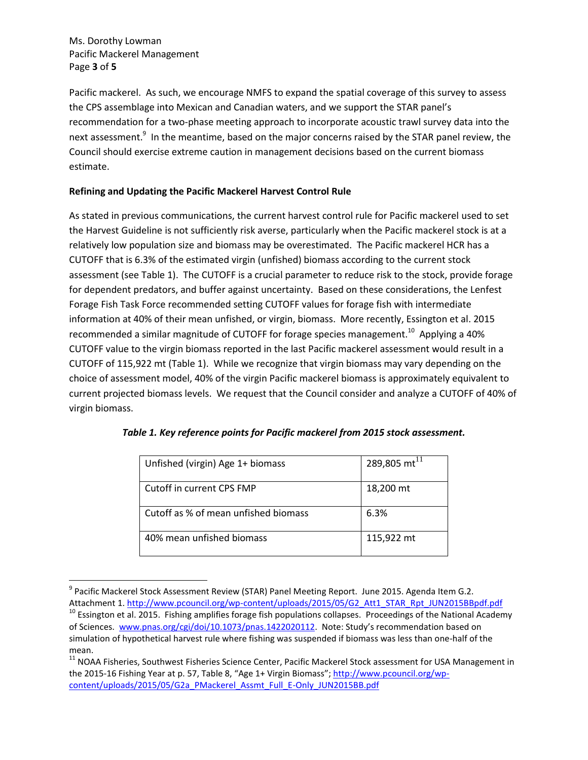Ms. Dorothy Lowman Pacific Mackerel Management Page **3** of **5**

 $\overline{\phantom{a}}$ 

Pacific mackerel. As such, we encourage NMFS to expand the spatial coverage of this survey to assess the CPS assemblage into Mexican and Canadian waters, and we support the STAR panel's recommendation for a two-phase meeting approach to incorporate acoustic trawl survey data into the next assessment.<sup>9</sup> In the meantime, based on the major concerns raised by the STAR panel review, the Council should exercise extreme caution in management decisions based on the current biomass estimate.

## **Refining and Updating the Pacific Mackerel Harvest Control Rule**

As stated in previous communications, the current harvest control rule for Pacific mackerel used to set the Harvest Guideline is not sufficiently risk averse, particularly when the Pacific mackerel stock is at a relatively low population size and biomass may be overestimated. The Pacific mackerel HCR has a CUTOFF that is 6.3% of the estimated virgin (unfished) biomass according to the current stock assessment (see Table 1). The CUTOFF is a crucial parameter to reduce risk to the stock, provide forage for dependent predators, and buffer against uncertainty. Based on these considerations, the Lenfest Forage Fish Task Force recommended setting CUTOFF values for forage fish with intermediate information at 40% of their mean unfished, or virgin, biomass. More recently, Essington et al. 2015 recommended a similar magnitude of CUTOFF for forage species management.<sup>10</sup> Applying a 40% CUTOFF value to the virgin biomass reported in the last Pacific mackerel assessment would result in a CUTOFF of 115,922 mt (Table 1). While we recognize that virgin biomass may vary depending on the choice of assessment model, 40% of the virgin Pacific mackerel biomass is approximately equivalent to current projected biomass levels. We request that the Council consider and analyze a CUTOFF of 40% of virgin biomass.

| Unfished (virgin) Age 1+ biomass     | 289,805 mt <sup>1</sup> |
|--------------------------------------|-------------------------|
| Cutoff in current CPS FMP            | 18,200 mt               |
| Cutoff as % of mean unfished biomass | 6.3%                    |
| 40% mean unfished biomass            | 115,922 mt              |

<sup>&</sup>lt;sup>9</sup> Pacific Mackerel Stock Assessment Review (STAR) Panel Meeting Report. June 2015. Agenda Item G.2.

Attachment 1. http://www.pcouncil.org/wp-content/uploads/2015/05/G2 Att1 STAR Rpt JUN2015BBpdf.pdf <sup>10</sup> Essington et al. 2015. Fishing amplifies forage fish populations collapses. Proceedings of the National Academy of Sciences. [www.pnas.org/cgi/doi/10.1073/pnas.1422020112.](http://www.pnas.org/cgi/doi/10.1073/pnas.1422020112) Note: Study's recommendation based on simulation of hypothetical harvest rule where fishing was suspended if biomass was less than one-half of the mean.

<sup>&</sup>lt;sup>11</sup> NOAA Fisheries, Southwest Fisheries Science Center, Pacific Mackerel Stock assessment for USA Management in the 2015-16 Fishing Year at p. 57, Table 8, "Age 1+ Virgin Biomass"; [http://www.pcouncil.org/wp](http://www.pcouncil.org/wp-content/uploads/2015/05/G2a_PMackerel_Assmt_Full_E-Only_JUN2015BB.pdf)[content/uploads/2015/05/G2a\\_PMackerel\\_Assmt\\_Full\\_E-Only\\_JUN2015BB.pdf](http://www.pcouncil.org/wp-content/uploads/2015/05/G2a_PMackerel_Assmt_Full_E-Only_JUN2015BB.pdf)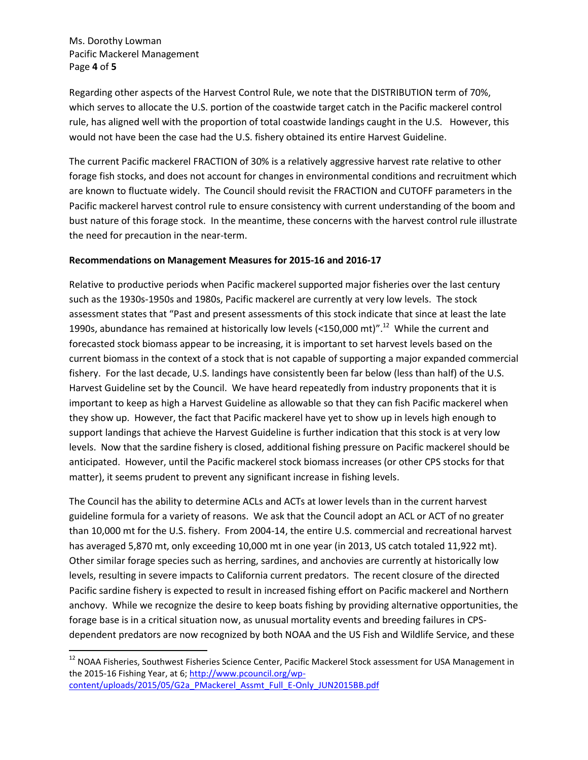Ms. Dorothy Lowman Pacific Mackerel Management Page **4** of **5**

 $\overline{\phantom{a}}$ 

Regarding other aspects of the Harvest Control Rule, we note that the DISTRIBUTION term of 70%, which serves to allocate the U.S. portion of the coastwide target catch in the Pacific mackerel control rule, has aligned well with the proportion of total coastwide landings caught in the U.S. However, this would not have been the case had the U.S. fishery obtained its entire Harvest Guideline.

The current Pacific mackerel FRACTION of 30% is a relatively aggressive harvest rate relative to other forage fish stocks, and does not account for changes in environmental conditions and recruitment which are known to fluctuate widely. The Council should revisit the FRACTION and CUTOFF parameters in the Pacific mackerel harvest control rule to ensure consistency with current understanding of the boom and bust nature of this forage stock. In the meantime, these concerns with the harvest control rule illustrate the need for precaution in the near-term.

#### **Recommendations on Management Measures for 2015-16 and 2016-17**

Relative to productive periods when Pacific mackerel supported major fisheries over the last century such as the 1930s-1950s and 1980s, Pacific mackerel are currently at very low levels. The stock assessment states that "Past and present assessments of this stock indicate that since at least the late 1990s, abundance has remained at historically low levels (<150,000 mt)".<sup>12</sup> While the current and forecasted stock biomass appear to be increasing, it is important to set harvest levels based on the current biomass in the context of a stock that is not capable of supporting a major expanded commercial fishery. For the last decade, U.S. landings have consistently been far below (less than half) of the U.S. Harvest Guideline set by the Council. We have heard repeatedly from industry proponents that it is important to keep as high a Harvest Guideline as allowable so that they can fish Pacific mackerel when they show up. However, the fact that Pacific mackerel have yet to show up in levels high enough to support landings that achieve the Harvest Guideline is further indication that this stock is at very low levels. Now that the sardine fishery is closed, additional fishing pressure on Pacific mackerel should be anticipated. However, until the Pacific mackerel stock biomass increases (or other CPS stocks for that matter), it seems prudent to prevent any significant increase in fishing levels.

The Council has the ability to determine ACLs and ACTs at lower levels than in the current harvest guideline formula for a variety of reasons. We ask that the Council adopt an ACL or ACT of no greater than 10,000 mt for the U.S. fishery. From 2004-14, the entire U.S. commercial and recreational harvest has averaged 5,870 mt, only exceeding 10,000 mt in one year (in 2013, US catch totaled 11,922 mt). Other similar forage species such as herring, sardines, and anchovies are currently at historically low levels, resulting in severe impacts to California current predators. The recent closure of the directed Pacific sardine fishery is expected to result in increased fishing effort on Pacific mackerel and Northern anchovy. While we recognize the desire to keep boats fishing by providing alternative opportunities, the forage base is in a critical situation now, as unusual mortality events and breeding failures in CPSdependent predators are now recognized by both NOAA and the US Fish and Wildlife Service, and these

 $^{12}$  NOAA Fisheries, Southwest Fisheries Science Center, Pacific Mackerel Stock assessment for USA Management in the 2015-16 Fishing Year, at 6[; http://www.pcouncil.org/wp](http://www.pcouncil.org/wp-content/uploads/2015/05/G2a_PMackerel_Assmt_Full_E-Only_JUN2015BB.pdf)[content/uploads/2015/05/G2a\\_PMackerel\\_Assmt\\_Full\\_E-Only\\_JUN2015BB.pdf](http://www.pcouncil.org/wp-content/uploads/2015/05/G2a_PMackerel_Assmt_Full_E-Only_JUN2015BB.pdf)